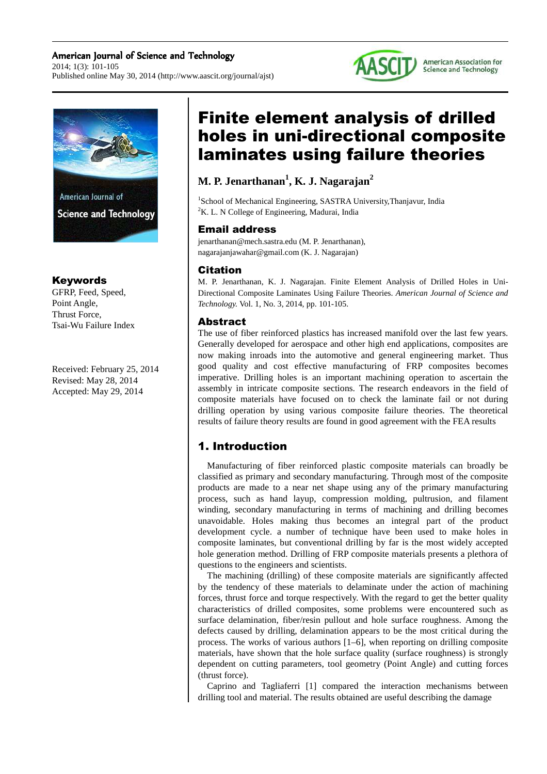### American Journal of Science and Technology 2014; 1(3): 101-105 Published online May 30, 2014 (http://www.aascit.org/journal/ajst)





# Keywords

GFRP, Feed, Speed, Point Angle, Thrust Force, Tsai-Wu Failure Index

Received: February 25, 2014 Revised: May 28, 2014 Accepted: May 29, 2014

# Finite element analysis of drilled holes in uni-directional composite laminates using failure theories

# **M. P. Jenarthanan<sup>1</sup> , K. J. Nagarajan<sup>2</sup>**

<sup>1</sup>School of Mechanical Engineering, SASTRA University, Thanjavur, India  ${}^{2}$ K. L. N College of Engineering, Madurai, India

# Email address

jenarthanan@mech.sastra.edu (M. P. Jenarthanan), nagarajanjawahar@gmail.com (K. J. Nagarajan)

### Citation

M. P. Jenarthanan, K. J. Nagarajan. Finite Element Analysis of Drilled Holes in Uni-Directional Composite Laminates Using Failure Theories. *American Journal of Science and Technology.* Vol. 1, No. 3, 2014, pp. 101-105.

# Abstract

The use of fiber reinforced plastics has increased manifold over the last few years. Generally developed for aerospace and other high end applications, composites are now making inroads into the automotive and general engineering market. Thus good quality and cost effective manufacturing of FRP composites becomes imperative. Drilling holes is an important machining operation to ascertain the assembly in intricate composite sections. The research endeavors in the field of composite materials have focused on to check the laminate fail or not during drilling operation by using various composite failure theories. The theoretical results of failure theory results are found in good agreement with the FEA results

# 1. Introduction

Manufacturing of fiber reinforced plastic composite materials can broadly be classified as primary and secondary manufacturing. Through most of the composite products are made to a near net shape using any of the primary manufacturing process, such as hand layup, compression molding, pultrusion, and filament winding, secondary manufacturing in terms of machining and drilling becomes unavoidable. Holes making thus becomes an integral part of the product development cycle. a number of technique have been used to make holes in composite laminates, but conventional drilling by far is the most widely accepted hole generation method. Drilling of FRP composite materials presents a plethora of questions to the engineers and scientists.

The machining (drilling) of these composite materials are significantly affected by the tendency of these materials to delaminate under the action of machining forces, thrust force and torque respectively. With the regard to get the better quality characteristics of drilled composites, some problems were encountered such as surface delamination, fiber/resin pullout and hole surface roughness. Among the defects caused by drilling, delamination appears to be the most critical during the process. The works of various authors [1–6], when reporting on drilling composite materials, have shown that the hole surface quality (surface roughness) is strongly dependent on cutting parameters, tool geometry (Point Angle) and cutting forces (thrust force).

Caprino and Tagliaferri [1] compared the interaction mechanisms between drilling tool and material. The results obtained are useful describing the damage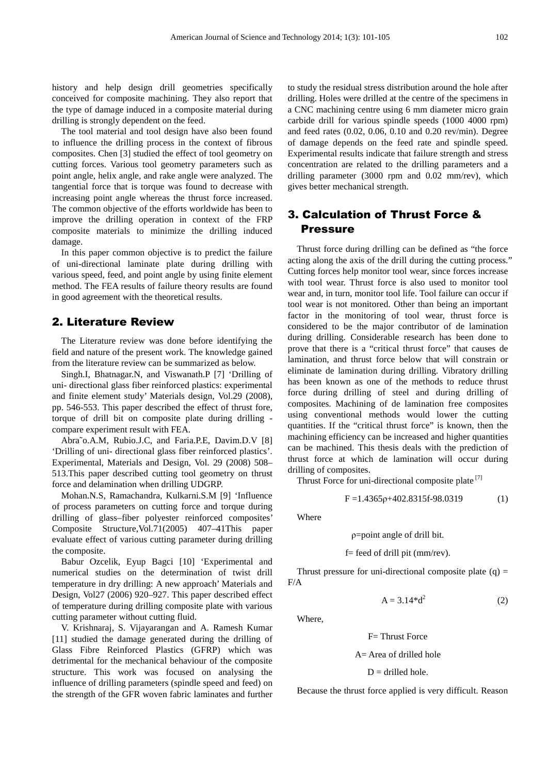history and help design drill geometries specifically conceived for composite machining. They also report that the type of damage induced in a composite material during drilling is strongly dependent on the feed.

The tool material and tool design have also been found to influence the drilling process in the context of fibrous composites. Chen [3] studied the effect of tool geometry on cutting forces. Various tool geometry parameters such as point angle, helix angle, and rake angle were analyzed. The tangential force that is torque was found to decrease with increasing point angle whereas the thrust force increased. The common objective of the efforts worldwide has been to improve the drilling operation in context of the FRP composite materials to minimize the drilling induced damage.

In this paper common objective is to predict the failure of uni-directional laminate plate during drilling with various speed, feed, and point angle by using finite element method. The FEA results of failure theory results are found in good agreement with the theoretical results.

### 2. Literature Review

The Literature review was done before identifying the field and nature of the present work. The knowledge gained from the literature review can be summarized as below.

Singh.I, Bhatnagar.N, and Viswanath.P [7] 'Drilling of uni- directional glass fiber reinforced plastics: experimental and finite element study' Materials design, Vol.29 (2008), pp. 546-553. This paper described the effect of thrust fore, torque of drill bit on composite plate during drilling compare experiment result with FEA.

Abra˜o.A.M, Rubio.J.C, and Faria.P.E, Davim.D.V [8] 'Drilling of uni- directional glass fiber reinforced plastics'. Experimental, Materials and Design, Vol. 29 (2008) 508– 513.This paper described cutting tool geometry on thrust force and delamination when drilling UDGRP.

Mohan.N.S, Ramachandra, Kulkarni.S.M [9] 'Influence of process parameters on cutting force and torque during drilling of glass–fiber polyester reinforced composites' Composite Structure,Vol.71(2005) 407–41This paper evaluate effect of various cutting parameter during drilling the composite.

Babur Ozcelik, Eyup Bagci [10] 'Experimental and numerical studies on the determination of twist drill temperature in dry drilling: A new approach' Materials and Design, Vol27 (2006) 920–927. This paper described effect of temperature during drilling composite plate with various cutting parameter without cutting fluid.

V. Krishnaraj, S. Vijayarangan and A. Ramesh Kumar [11] studied the damage generated during the drilling of Glass Fibre Reinforced Plastics (GFRP) which was detrimental for the mechanical behaviour of the composite structure. This work was focused on analysing the influence of drilling parameters (spindle speed and feed) on the strength of the GFR woven fabric laminates and further

to study the residual stress distribution around the hole after drilling. Holes were drilled at the centre of the specimens in a CNC machining centre using 6 mm diameter micro grain carbide drill for various spindle speeds (1000 4000 rpm) and feed rates (0.02, 0.06, 0.10 and 0.20 rev/min). Degree of damage depends on the feed rate and spindle speed. Experimental results indicate that failure strength and stress concentration are related to the drilling parameters and a drilling parameter (3000 rpm and 0.02 mm/rev), which gives better mechanical strength.

# 3. Calculation of Thrust Force & Pressure

Thrust force during drilling can be defined as "the force acting along the axis of the drill during the cutting process." Cutting forces help monitor tool wear, since forces increase with tool wear. Thrust force is also used to monitor tool wear and, in turn, monitor tool life. Tool failure can occur if tool wear is not monitored. Other than being an important factor in the monitoring of tool wear, thrust force is considered to be the major contributor of de lamination during drilling. Considerable research has been done to prove that there is a "critical thrust force" that causes de lamination, and thrust force below that will constrain or eliminate de lamination during drilling. Vibratory drilling has been known as one of the methods to reduce thrust force during drilling of steel and during drilling of composites. Machining of de lamination free composites using conventional methods would lower the cutting quantities. If the "critical thrust force" is known, then the machining efficiency can be increased and higher quantities can be machined. This thesis deals with the prediction of thrust force at which de lamination will occur during drilling of composites.

Thrust Force for uni-directional composite plate<sup>[7]</sup>

$$
F = 1.4365p + 402.8315f - 98.0319 \tag{1}
$$

Where

#### ρ=point angle of drill bit.

#### f= feed of drill pit (mm/rev).

Thrust pressure for uni-directional composite plate  $(q)$  = F/A

$$
A = 3.14 \cdot d^2 \tag{2}
$$

Where,

#### F= Thrust Force

A= Area of drilled hole

#### $D =$  drilled hole.

Because the thrust force applied is very difficult. Reason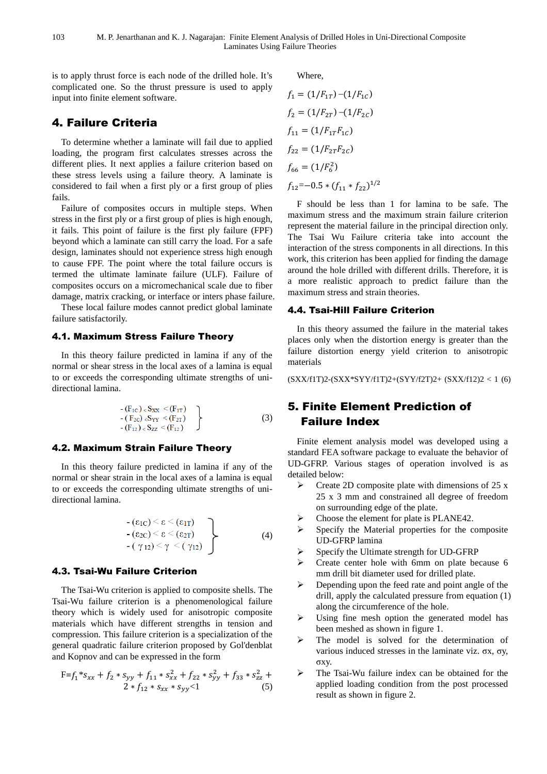is to apply thrust force is each node of the drilled hole. It's complicated one. So the thrust pressure is used to apply input into finite element software.

# 4. Failure Criteria

To determine whether a laminate will fail due to applied loading, the program first calculates stresses across the different plies. It next applies a failure criterion based on these stress levels using a failure theory. A laminate is considered to fail when a first ply or a first group of plies fails.

Failure of composites occurs in multiple steps. When stress in the first ply or a first group of plies is high enough, it fails. This point of failure is the first ply failure (FPF) beyond which a laminate can still carry the load. For a safe design, laminates should not experience stress high enough to cause FPF. The point where the total failure occurs is termed the ultimate laminate failure (ULF). Failure of composites occurs on a micromechanical scale due to fiber damage, matrix cracking, or interface or inters phase failure.

These local failure modes cannot predict global laminate failure satisfactorily.

### 4.1. Maximum Stress Failure Theory

In this theory failure predicted in lamina if any of the normal or shear stress in the local axes of a lamina is equal to or exceeds the corresponding ultimate strengths of unidirectional lamina.

$$
\begin{array}{c}\n-(F_{1C}) < S_{XX} < (F_{1T}) \\
-(F_{2C}) < S_{YY} < (F_{2T}) \\
-(F_{12}) < S_{ZZ} < (F_{12})\n\end{array}\n\bigg\}
$$
\n(3)

#### 4.2. Maximum Strain Failure Theory

In this theory failure predicted in lamina if any of the normal or shear strain in the local axes of a lamina is equal to or exceeds the corresponding ultimate strengths of unidirectional lamina.

$$
\begin{array}{c}\n-(\varepsilon_{1C}) < \varepsilon < (\varepsilon_{1T}) \\
-(\varepsilon_{2C}) < \varepsilon < (\varepsilon_{2T}) \\
-(\gamma_{12}) < \gamma < (\gamma_{12})\n\end{array}\n\tag{4}
$$

#### 4.3. Tsai-Wu Failure Criterion

The Tsai-Wu criterion is applied to composite shells. The Tsai-Wu failure criterion is a phenomenological failure theory which is widely used for anisotropic composite materials which have different strengths in tension and compression. This failure criterion is a specialization of the general quadratic failure criterion proposed by Gol'denblat and Kopnov and can be expressed in the form

$$
F=f_1 * s_{xx} + f_2 * s_{yy} + f_{11} * s_{xx}^2 + f_{22} * s_{yy}^2 + f_{33} * s_{zz}^2 + 2 * f_{12} * s_{xx} * s_{yy} < 1
$$
 (5)

Where,

$$
f_1 = (1/F_{1T}) - (1/F_{1C})
$$
  
\n
$$
f_2 = (1/F_{2T}) - (1/F_{2C})
$$
  
\n
$$
f_{11} = (1/F_{1T}F_{1C})
$$
  
\n
$$
f_{22} = (1/F_{2T}F_{2C})
$$
  
\n
$$
f_{66} = (1/F_6^2)
$$
  
\n
$$
f_{12} = -0.5 * (f_{11} * f_{22})^{1/2}
$$

F should be less than 1 for lamina to be safe. The maximum stress and the maximum strain failure criterion represent the material failure in the principal direction only. The Tsai Wu Failure criteria take into account the interaction of the stress components in all directions. In this work, this criterion has been applied for finding the damage around the hole drilled with different drills. Therefore, it is a more realistic approach to predict failure than the maximum stress and strain theories.

### 4.4. Tsai-Hill Failure Criterion

In this theory assumed the failure in the material takes places only when the distortion energy is greater than the failure distortion energy yield criterion to anisotropic materials

(SXX/f1T)2-(SXX\*SYY/f1T)2+(SYY/f2T)2+ (SXX/f12)2 < 1 (6)

# 5. Finite Element Prediction of Failure Index

Finite element analysis model was developed using a standard FEA software package to evaluate the behavior of UD-GFRP. Various stages of operation involved is as detailed below:

- $\triangleright$  Create 2D composite plate with dimensions of 25 x 25 x 3 mm and constrained all degree of freedom on surrounding edge of the plate.
- Choose the element for plate is PLANE42.
- $\triangleright$  Specify the Material properties for the composite UD-GFRP lamina
- Specify the Ultimate strength for UD-GFRP
- $\triangleright$  Create center hole with 6mm on plate because 6 mm drill bit diameter used for drilled plate.
- $\triangleright$  Depending upon the feed rate and point angle of the drill, apply the calculated pressure from equation (1) along the circumference of the hole.
- Using fine mesh option the generated model has been meshed as shown in figure 1.
- $\triangleright$  The model is solved for the determination of various induced stresses in the laminate viz. σx, σy, σxy.
- $\triangleright$  The Tsai-Wu failure index can be obtained for the applied loading condition from the post processed result as shown in figure 2.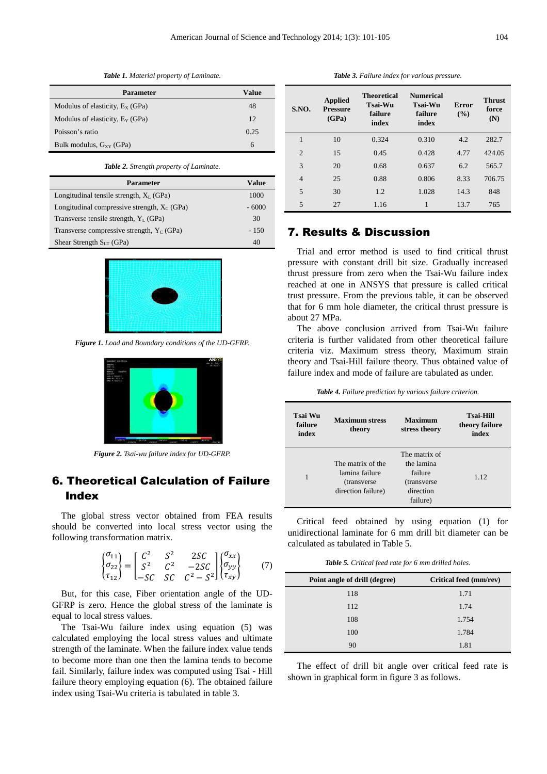**Parameter Value** Modulus of elasticity,  $E_X$  (GPa) 48 Modulus of elasticity,  $E_Y$  (GPa)  $12$ Poisson's ratio 0.25 Bulk modulus,  $G_{XY}$  (GPa) 6

*Table 1. Material property of Laminate.* 

| <b>Table 2.</b> Strength property of Laminate. |              |
|------------------------------------------------|--------------|
| <b>Parameter</b>                               | <b>Value</b> |
| Longitudinal tensile strength, $X_L$ (GPa)     | 1000         |
| Longitudinal compressive strength, $X_C$ (GPa) | $-6000$      |
| Transverse tensile strength, $Y_L$ (GPa)       | 30           |
| Transverse compressive strength, $Y_C$ (GPa)   | $-150$       |
| Shear Strength $S_{LT}$ (GPa)                  | 40           |



*Figure 1. Load and Boundary conditions of the UD-GFRP.* 



*Figure 2. Tsai-wu failure index for UD-GFRP.* 

# 6. Theoretical Calculation of Failure Index

The global stress vector obtained from FEA results should be converted into local stress vector using the following transformation matrix.

$$
\begin{Bmatrix} \sigma_{11} \\ \sigma_{22} \\ \tau_{12} \end{Bmatrix} = \begin{bmatrix} C^2 & S^2 & 2SC \\ S^2 & C^2 & -2SC \\ -SC & SC & C^2 - S^2 \end{bmatrix} \begin{Bmatrix} \sigma_{xx} \\ \sigma_{yy} \\ \tau_{xy} \end{Bmatrix} \tag{7}
$$

But, for this case, Fiber orientation angle of the UD-GFRP is zero. Hence the global stress of the laminate is equal to local stress values.

The Tsai-Wu failure index using equation (5) was calculated employing the local stress values and ultimate strength of the laminate. When the failure index value tends to become more than one then the lamina tends to become fail. Similarly, failure index was computed using Tsai - Hill failure theory employing equation (6). The obtained failure index using Tsai-Wu criteria is tabulated in table 3.

*Table 3. Failure index for various pressure.* 

| S.NO.          | <b>Applied</b><br><b>Pressure</b><br>(GPa) | <b>Theoretical</b><br><b>Tsai-Wu</b><br>failure<br>index | <b>Numerical</b><br>Tsai-Wu<br>failure<br>index | <b>Error</b><br>$($ %) | <b>Thrust</b><br>force<br>(N) |
|----------------|--------------------------------------------|----------------------------------------------------------|-------------------------------------------------|------------------------|-------------------------------|
| 1              | 10                                         | 0.324                                                    | 0.310                                           | 4.2                    | 282.7                         |
| $\overline{2}$ | 15                                         | 0.45                                                     | 0.428                                           | 4.77                   | 424.05                        |
| 3              | 20                                         | 0.68                                                     | 0.637                                           | 6.2                    | 565.7                         |
| $\overline{4}$ | 25                                         | 0.88                                                     | 0.806                                           | 8.33                   | 706.75                        |
| 5              | 30                                         | 1.2                                                      | 1.028                                           | 14.3                   | 848                           |
| 5              | 27                                         | 1.16                                                     | 1                                               | 13.7                   | 765                           |

# 7. Results & Discussion

Trial and error method is used to find critical thrust pressure with constant drill bit size. Gradually increased thrust pressure from zero when the Tsai-Wu failure index reached at one in ANSYS that pressure is called critical trust pressure. From the previous table, it can be observed that for 6 mm hole diameter, the critical thrust pressure is about 27 MPa.

The above conclusion arrived from Tsai-Wu failure criteria is further validated from other theoretical failure criteria viz. Maximum stress theory, Maximum strain theory and Tsai-Hill failure theory. Thus obtained value of failure index and mode of failure are tabulated as under.

| Table 4. Failure prediction by various failure criterion. |  |  |  |
|-----------------------------------------------------------|--|--|--|
|-----------------------------------------------------------|--|--|--|

| Tsai Wu<br>failure<br>index | <b>Maximum stress</b><br>theory                                           | Maximum<br>stress theory                                                        | <b>Tsai-Hill</b><br>theory failure<br>index |
|-----------------------------|---------------------------------------------------------------------------|---------------------------------------------------------------------------------|---------------------------------------------|
|                             | The matrix of the<br>lamina failure<br>(transverse)<br>direction failure) | The matrix of<br>the lamina<br>failure<br>(transverse)<br>direction<br>failure) | 1.12                                        |

Critical feed obtained by using equation (1) for unidirectional laminate for 6 mm drill bit diameter can be calculated as tabulated in Table 5.

*Table 5. Critical feed rate for 6 mm drilled holes.* 

| Point angle of drill (degree) | Critical feed (mm/rev) |
|-------------------------------|------------------------|
| 118                           | 1.71                   |
| 112                           | 1.74                   |
| 108                           | 1.754                  |
| 100                           | 1.784                  |
| 90                            | 1.81                   |

The effect of drill bit angle over critical feed rate is shown in graphical form in figure 3 as follows.